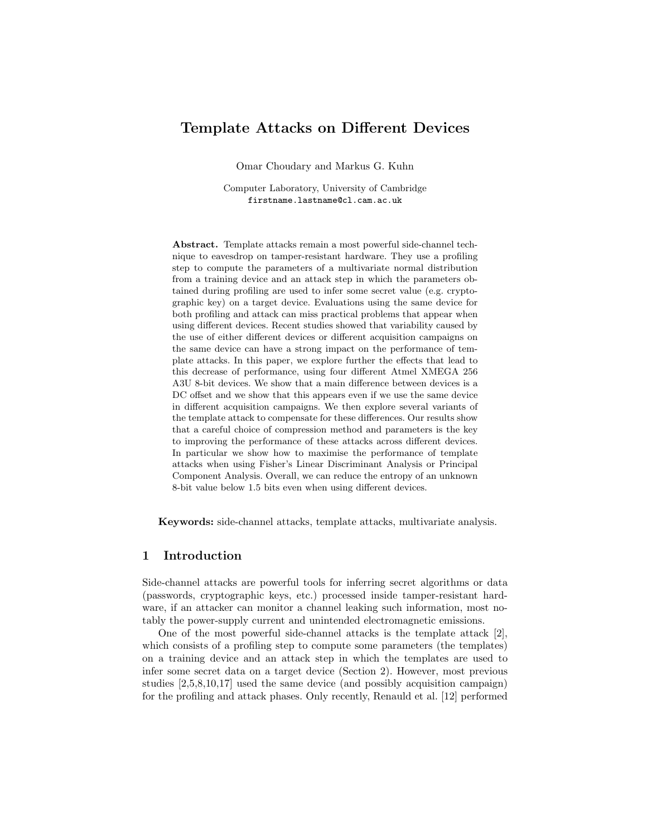# Template Attacks on Different Devices

Omar Choudary and Markus G. Kuhn

Computer Laboratory, University of Cambridge firstname.lastname@cl.cam.ac.uk

Abstract. Template attacks remain a most powerful side-channel technique to eavesdrop on tamper-resistant hardware. They use a profiling step to compute the parameters of a multivariate normal distribution from a training device and an attack step in which the parameters obtained during profiling are used to infer some secret value (e.g. cryptographic key) on a target device. Evaluations using the same device for both profiling and attack can miss practical problems that appear when using different devices. Recent studies showed that variability caused by the use of either different devices or different acquisition campaigns on the same device can have a strong impact on the performance of template attacks. In this paper, we explore further the effects that lead to this decrease of performance, using four different Atmel XMEGA 256 A3U 8-bit devices. We show that a main difference between devices is a DC offset and we show that this appears even if we use the same device in different acquisition campaigns. We then explore several variants of the template attack to compensate for these differences. Our results show that a careful choice of compression method and parameters is the key to improving the performance of these attacks across different devices. In particular we show how to maximise the performance of template attacks when using Fisher's Linear Discriminant Analysis or Principal Component Analysis. Overall, we can reduce the entropy of an unknown 8-bit value below 1.5 bits even when using different devices.

Keywords: side-channel attacks, template attacks, multivariate analysis.

## 1 Introduction

Side-channel attacks are powerful tools for inferring secret algorithms or data (passwords, cryptographic keys, etc.) processed inside tamper-resistant hardware, if an attacker can moni[tor](#page-1-0) a channel leaking such information, most notably the power-supply current and unintended electromagnetic emissions.

One of the most powerful side-channel [att](#page-18-0)acks is the template attack [2], which consists of a profiling step to compute some parameters (the templates) on a training device and an attack step in which the templates are used to infer some secret data on a target device (Section 2). However, most previous studies [2,5,8,10,17] used the same device (and possibly acquisition campaign) for the profiling and attack phases. Only recently, Renauld et al. [12] performed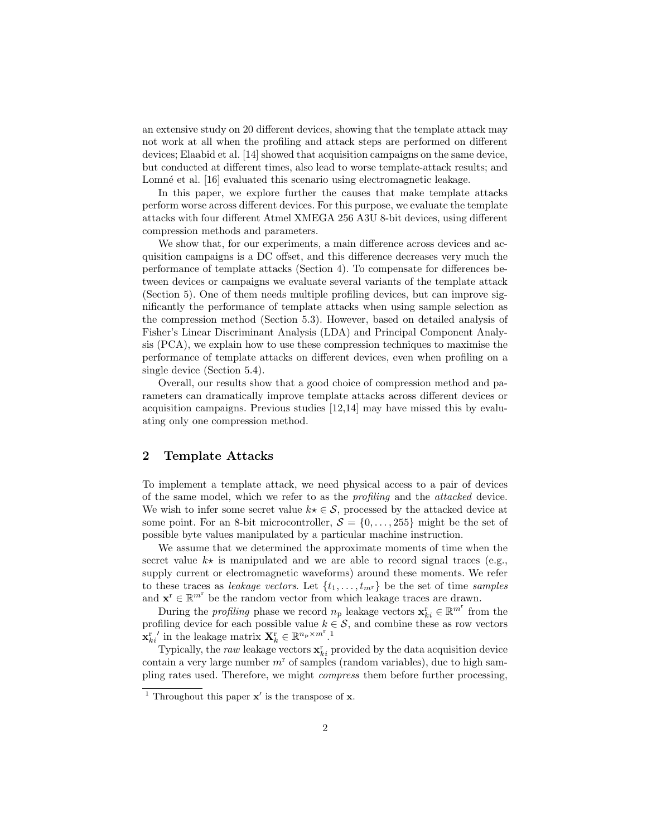an extensive study on 20 different devices, showing that the template attack may not work at all when the profiling and attack steps are performed on different devices; Elaabid et al. [14] showed that acquisition campaigns on the same device, but conducted at different times, also lead to worse template-attack results; and Lomné et al. [16] evaluated this scenario using electromagnetic leakage.

In this paper, we explore further the causes that make template attacks perform worse across [di](#page-4-0)fferent devices. For this purpose, we evaluate the template attacks with four different Atmel XMEGA 256 A3U 8-bit devices, using different compression methods and parameters.

We show that, for our experiments, a main difference across devices and acquisition ca[mpaig](#page-11-0)ns is a DC offset, and this difference decreases very much the performance of template attacks (Section 4). To compensate for differences between devices or campaigns we evaluate several variants of the template attack (Section 5). One of them needs multiple profiling devices, but can improve sig[nific](#page-12-0)antly the performance of template attacks when using sample selection as the compression method (Section 5.3). However, based on detailed analysis of Fisher's Linear Discriminant Analysis (LDA) and Principal Component Analysis (PCA), we expla[in](#page-18-0) [how](#page-18-1) to use these compression techniques to maximise the performance of template attacks on different devices, even when profiling on a single device (Section 5.4).

<span id="page-1-0"></span>Overall, our results show that a good choice of compression method and parameters can dramatically improve template attacks across different devices or acquisition campaigns. Previous studies [12,14] may have missed this by evaluating only one compression method.

# 2 Template Attacks

To implement a template attack, we need physical access to a pair of devices of the same model, which we refer to as the profiling and the attacked device. We wish to infer some secret value  $k \star \in \mathcal{S}$ , processed by the attacked device at some point. For an 8-bit microcontroller,  $S = \{0, \ldots, 255\}$  might be the set of possible byte values manipulated by a particular machine instruction.

We assume that we determined the approximate moments of time when the secret value  $k\star$  is manipulated and we are able to record signal traces (e.g., supply current or e[lec](#page-1-1)tromagnetic waveforms) around these moments. We refer to these traces as leakage vectors. Let  $\{t_1, \ldots, t_{m^r}\}$  be the set of time samples and  $\mathbf{x}^{\text{r}} \in \mathbb{R}^{m^{\text{r}}}$  be the random vector from which leakage traces are drawn.

<span id="page-1-1"></span>During the *profiling* phase we record  $n_p$  leakage vectors  $\mathbf{x}_{ki}^r \in \mathbb{R}^{m^r}$  from the profiling device for each possible value  $k \in \mathcal{S}$ , and combine these as row vectors  $\mathbf{x}_{ki}^{r'}$  in the leakage matrix  $\mathbf{X}_{k}^{r} \in \mathbb{R}^{n_{p} \times m^{r}}$ .<sup>1</sup>

Typically, the *raw* leakage vectors  $\mathbf{x}_{ki}^{\mathrm{r}}$  provided by the data acquisition device contain a very large number  $m<sup>r</sup>$  of samples (random variables), due to high sampling rates used. Therefore, we might compress them before further processing,

<sup>&</sup>lt;sup>1</sup> Throughout this paper  $\mathbf{x}'$  is the transpose of  $\mathbf{x}$ .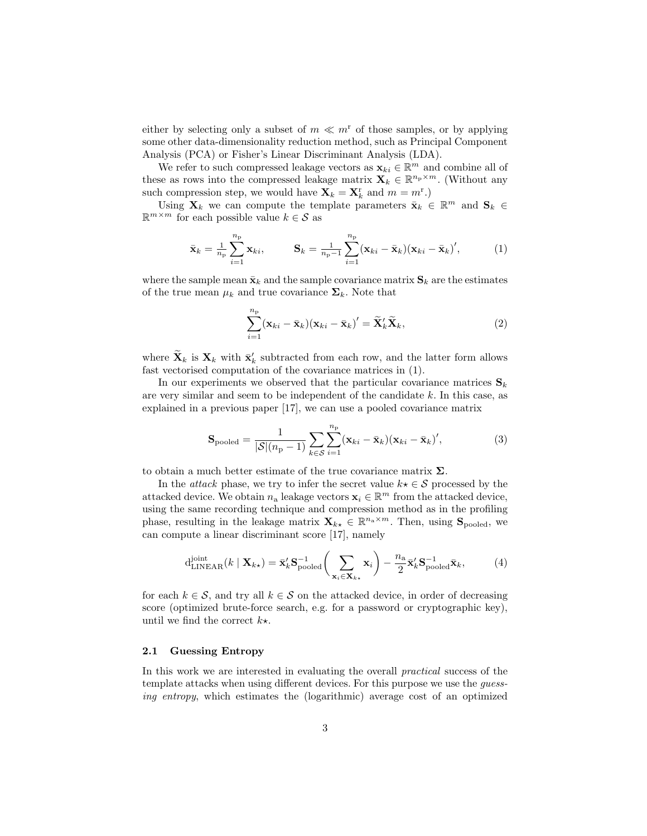either by selecting only a subset of  $m \ll m<sup>r</sup>$  of those samples, or by applying some other data-dimensionality reduction method, such as Principal Component Analysis (PCA) or Fisher's Linear Discriminant Analysis (LDA).

<span id="page-2-0"></span>We refer to such compressed leakage vectors as  $\mathbf{x}_{ki} \in \mathbb{R}^m$  and combine all of these as rows into the compressed leakage matrix  $\mathbf{X}_k \in \mathbb{R}^{n_p \times m}$ . (Without any such compression step, we would have  $\mathbf{X}_k = \mathbf{X}_k^{\text{r}}$  and  $m = m^{\text{r}}$ .)

Using  $\mathbf{X}_k$  we can compute the template parameters  $\bar{\mathbf{x}}_k \in \mathbb{R}^m$  and  $\mathbf{S}_k \in$  $\mathbb{R}^{m \times m}$  for each possible value  $k \in \mathcal{S}$  as

$$
\bar{\mathbf{x}}_k = \frac{1}{n_p} \sum_{i=1}^{n_p} \mathbf{x}_{ki}, \qquad \mathbf{S}_k = \frac{1}{n_p - 1} \sum_{i=1}^{n_p} (\mathbf{x}_{ki} - \bar{\mathbf{x}}_k) (\mathbf{x}_{ki} - \bar{\mathbf{x}}_k)', \qquad (1)
$$

where the sample mean  $\bar{\mathbf{x}}_k$  and the sample covariance matrix  $\mathbf{S}_k$  are the estimates of the true mean  $\mu_k$  and true covaria[nc](#page-2-0)e  $\Sigma_k$ . Note that

$$
\sum_{i=1}^{n_{\rm p}} (\mathbf{x}_{ki} - \bar{\mathbf{x}}_k)(\mathbf{x}_{ki} - \bar{\mathbf{x}}_k)' = \widetilde{\mathbf{X}}_k' \widetilde{\mathbf{X}}_k, \tag{2}
$$

<span id="page-2-1"></span>where  $\mathbf{\tilde{X}}_k$  is  $\mathbf{X}_k$  with  $\bar{\mathbf{x}}'_k$  subtracted from each row, and the latter form allows fast vectorised computation of the covariance matrices in (1).

In our experiments we observed that the particular covariance matrices  $S_k$ are very similar and seem to be independent of the candidate k. In this case, as explained in a previous paper [17], we can use a pooled covariance matrix

$$
\mathbf{S}_{\text{pooled}} = \frac{1}{|\mathcal{S}|(n_{\text{p}}-1)} \sum_{k \in \mathcal{S}} \sum_{i=1}^{n_{\text{p}}} (\mathbf{x}_{ki} - \bar{\mathbf{x}}_{k}) (\mathbf{x}_{ki} - \bar{\mathbf{x}}_{k})', \tag{3}
$$

to obtain a much b[ette](#page-18-2)r estimate of the true covariance matrix  $\Sigma$ .

<span id="page-2-3"></span>In the *attack* phase, we try to infer the secret value  $k \star \in \mathcal{S}$  processed by the attacked device. We obtain  $n_a$  leakage vectors  $\mathbf{x}_i \in \mathbb{R}^m$  from the attacked device, using the same recording technique and compression method as in the profiling phase, resulting in the leakage matrix  $\mathbf{X}_{k\star} \in \mathbb{R}^{n_{\rm a} \times m}$ . Then, using  $\mathbf{S}_{\rm pooled}$ , we can compute a linear discriminant score [17], namely

$$
d_{\text{LINEAR}}^{\text{joint}}(k \mid \mathbf{X}_{k\star}) = \bar{\mathbf{x}}_k' \mathbf{S}_{\text{pooled}}^{-1} \bigg(\sum_{\mathbf{x}_i \in \mathbf{X}_{k\star}} \mathbf{x}_i\bigg) - \frac{n_a}{2} \bar{\mathbf{x}}_k' \mathbf{S}_{\text{pooled}}^{-1} \bar{\mathbf{x}}_k,\tag{4}
$$

<span id="page-2-2"></span>for each  $k \in \mathcal{S}$ , and try all  $k \in \mathcal{S}$  on the attacked device, in order of decreasing score (optimized brute-force search, e.g. for a password or cryptographic key), until we find the correct  $k\star$ .

#### 2.1 Guessing Entropy

In this work we are interested in evaluating the overall practical success of the template attacks when using different devices. For this purpose we use the *guess*ing entropy, which estimates the (logarithmic) average cost of an optimized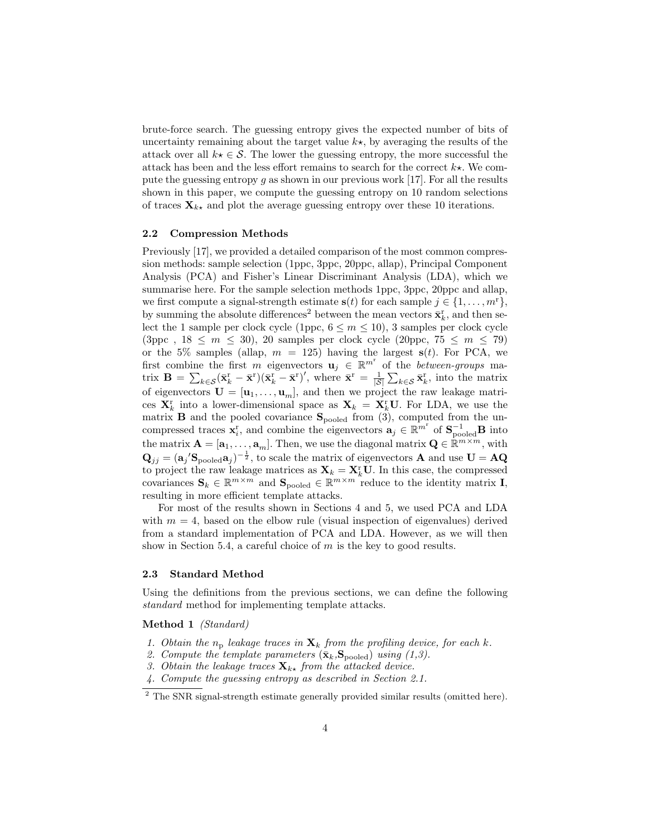<span id="page-3-2"></span>brute-force search. The guessing entropy gives the expected number of bits of uncertainty remaining about the target value  $k\star$ , by averaging the results of the attack over all  $k \star \in \mathcal{S}$ . The lower the guessing entropy, the more successful the attack has been and the less effort remains to search for the correct  $k\star$ . We compute the guessing entropy  $g$  as shown in our previous work [17]. For all the results shown in this paper, we compute the guessing entropy on 10 random selections of traces  $\mathbf{X}_{k\star}$  and plot the average guessing entropy over these 10 iterations.

### 2.2 Compression Methods

Previously [17[\], w](#page-3-0)e provided a detailed comparison of the most common compression methods: sample selection (1ppc, 3ppc, 20ppc, allap), Principal Component Analysis (PCA) and Fisher's Linear Discriminant Analysis (LDA), which we summarise here. For the sample selection methods 1ppc, 3ppc, 20ppc and allap, we first compute a signal-strength estimate  $s(t)$  for each sample  $j \in \{1, \ldots, m^r\},$ by summing the absolute differences<sup>2</sup> between the mean vectors  $\bar{\mathbf{x}}_k^{\mathrm{r}}$ , and then select the 1 sample per clock cycle (1ppc,  $6 \le m \le 10$ ), 3 samples per clock cycle (3ppc,  $18 \le m \le 30$ ), 20 samples per clock cycle (20ppc,  $75 \le m \le 79$ ) or the 5% samples (allap,  $m = 125$  $m = 125$  $m = 125$ ) having the largest  $s(t)$ . For PCA, we first combine the first m eigenvectors  $\mathbf{u}_j \in \mathbb{R}^{m^r}$  of the between-groups matrix  $\mathbf{B} = \sum_{k \in \mathcal{S}} (\bar{\mathbf{x}}_k^{\text{r}} - \bar{\mathbf{x}}^{\text{r}}) (\bar{\mathbf{x}}_k^{\text{r}} - \bar{\mathbf{x}}^{\text{r}})'$ , where  $\bar{\mathbf{x}}^{\text{r}} = \frac{1}{|\mathcal{S}|} \sum_{k \in \mathcal{S}} \bar{\mathbf{x}}_k^{\text{r}}$ , into the matrix of eigenvectors  $\mathbf{U} = [\mathbf{u}_1, \dots, \mathbf{u}_m]$ , and then we project the raw leakage matrices  $\mathbf{X}_k^{\text{r}}$  into a lower-dimensional space as  $\mathbf{X}_k = \mathbf{X}_k^{\text{r}} \mathbf{U}$ . For LDA, we use the matrix **B** and the pooled covariance  $S_{pooled}$  from (3), computed from the uncompressed traces  $\mathbf{x}_i^{\text{r}}$ , and combine the eigenvectors  $\mathbf{a}_j \in \mathbb{R}^{m^{\text{r}}}$  of  $\mathbf{S}_{\text{pooled}}^{-1} \mathbf{B}$  into the m[a](#page-4-0)trix  $\mathbf{A} = [\mathbf{a}_1, \dots, \mathbf{a}_m]$ . T[hen](#page-8-0), we use the diagonal matrix  $\mathbf{Q} \in \mathbb{R}^{m \times m}$ , with  $\mathbf{Q}_{jj} = (\mathbf{a}_j' \mathbf{S}_{\text{pooled}} \mathbf{a}_j)^{-\frac{1}{2}},$  to scale the matrix of eigenvectors **A** and use  $\mathbf{U} = \mathbf{A} \mathbf{Q}$ to project the raw leakage matrices as  $\mathbf{X}_k = \mathbf{X}_k^{\text{r}} \mathbf{U}$ . In this case, the compressed covariances  $\mathbf{S}_k \in \mathbb{R}^{m \times m}$  and  $\mathbf{S}_{pooled} \in \mathbb{R}^{m \times m}$  reduce to the identity matrix **I**, resulting in more efficient template attacks.

For most of the results shown in Sections 4 and 5, we used PCA and LDA with  $m = 4$ , based on the elbow rule (visual inspection of eigenvalues) derived from a standard implementation of PCA and LDA. However, as we will then show in Section 5.4, a careful choice of  $m$  is the key to good results.

### <span id="page-3-1"></span>2.3 Standard Method

Using the definitions from the pre[vio](#page-2-0)[us](#page-2-1) sections, we can define the following standard method for implementing t[emp](#page-2-2)late attacks.

<span id="page-3-0"></span>Method 1 (Standard)

- 1. Obtain the  $n_p$  leakage traces in  $\mathbf{X}_k$  from the profiling device, for each k.
- 2. Compute the template parameters  $(\bar{\mathbf{x}}_k, \mathbf{S}_{\text{pooled}})$  using  $(1,3)$ .
- 3. Obtain the leakage traces  $\mathbf{X}_{k\star}$  from the attacked device.
- 4. Compute the guessing entropy as described in Section 2.1.

<sup>&</sup>lt;sup>2</sup> The SNR signal-strength estimate generally provided similar results (omitted here).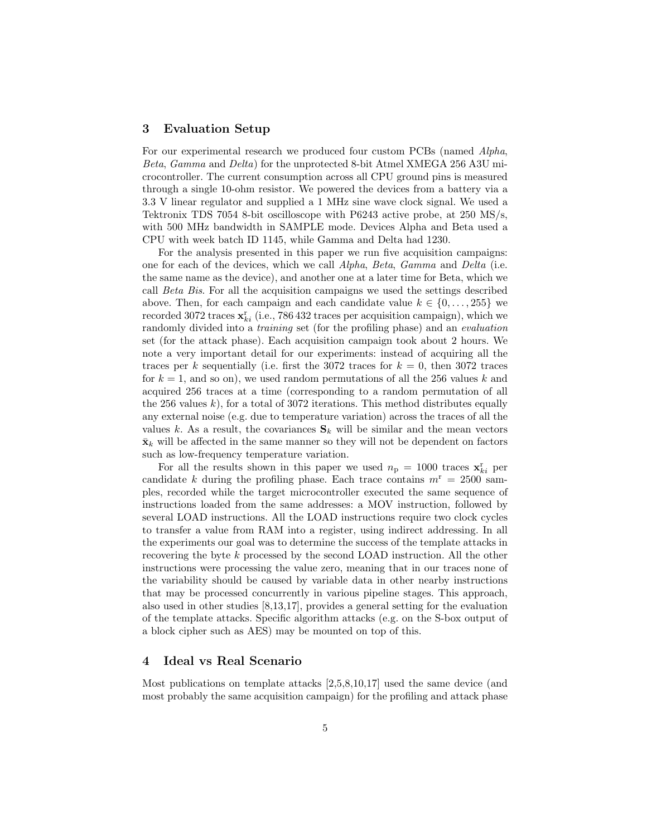### 3 Evaluation Setup

For our experimental research we produced four custom PCBs (named Alpha, Beta, Gamma and Delta) for the unprotected 8-bit Atmel XMEGA 256 A3U microcontroller. The current consumption across all CPU ground pins is measured through a single 10-ohm resistor. We powered the devices from a battery via a 3.3 V linear regulator and supplied a 1 MHz sine wave clock signal. We used a Tektronix TDS 7054 8-bit oscilloscope with P6243 active probe, at 250 MS/s, with 500 MHz bandwidth in SAMPLE mode. Devices Alpha and Beta used a CPU with week batch ID 1145, while Gamma and Delta had 1230.

For the analysis presented in this paper we run five acquisition campaigns: one for each of the devices, which we call Alpha, Beta, Gamma and Delta (i.e. the same name as the device), and another one at a later time for Beta, which we call Beta Bis. For all the acquisition campaigns we used the settings described above. Then, for each campaign and each candidate value  $k \in \{0, \ldots, 255\}$  we recorded 3072 traces  $\mathbf{x}_{ki}^{r}$  (i.e., 786 432 traces per acquisition campaign), which we randomly divided into a training set (for the profiling phase) and an evaluation set (for the attack phase). Each acquisition campaign took about 2 hours. We note a very important detail for our experiments: instead of acquiring all the traces per k sequentially (i.e. first the 3072 traces for  $k = 0$ , then 3072 traces for  $k = 1$ , and so on), we used random permutations of all the 256 values k and acquired 256 traces at a time (corresponding to a random permutation of all the 256 values  $k$ ), for a total of 3072 iterations. This method distributes equally any external noise (e.g. due to temperature variation) across the traces of all the values k. As a result, the covariances  $S_k$  will be similar and the mean vectors  $\bar{\mathbf{x}}_k$  will be affected in the same manner so they will not be dependent on factors such as low-frequency temperature variation.

For all the results shown in this paper we used  $n_p = 1000$  traces  $\mathbf{x}_{ki}^r$  per candidate k during the profiling phase. Each trace contains  $m<sup>r</sup> = 2500$  samples, recorded while the target microcontroller executed the same sequence of instructions loaded from the same addresses: a MOV instruction, followed by several LOAD instructions. All the LOAD instructions require two clock cycles to transfer a value from RAM into a register, using indirect addressing. In all the e[xp](#page-18-3)[eri](#page-18-4)[me](#page-18-2)nts our goal was to determine the success of the template attacks in recovering the byte k processed by the second LOAD instruction. All the other instructions were processing the value zero, meaning that in our traces none of the variability should be caused by variable data in other nearby instructions that may be processed concurrently in various pipeline stages. This approach, also used in other studies [8,13,17], provides a general setting for the evaluation of the template att[ac](#page-18-5)[k](#page-18-6)[s.](#page-18-3) [Sp](#page-18-7)[ecifi](#page-18-2)c algorithm attacks (e.g. on the S-box output of a block cipher such as AES) may be mounted on top of this.

### <span id="page-4-0"></span>4 Ideal vs Real Scenario

Most publications on template attacks [2,5,8,10,17] used the same device (and most probably the same acquisition campaign) for the profiling and attack phase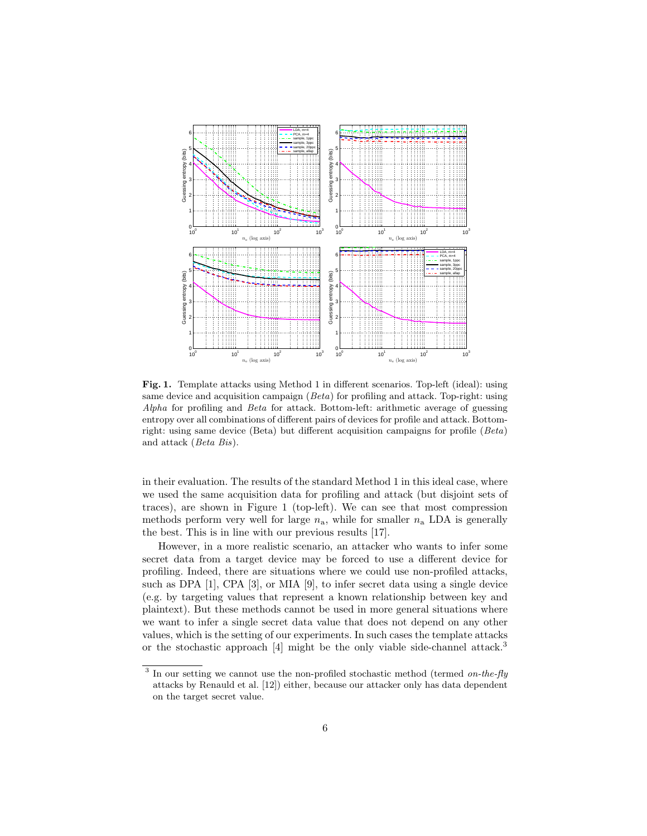

<span id="page-5-0"></span>Fig. 1. Template attacks using Method 1 in different scenarios. Top-left (ideal): using same device and acquisition campaign (Beta) for profiling and attack. Top-right: using Alpha for profiling and Beta for attack. Bottom-left: arithmetic average of guessing entropy over all combinations of diff[ere](#page-3-1)nt pairs of devices for profile and attack. Bottomright: using same device (Beta) but different acquisition campaigns for profile (Beta) and attac[k \(](#page-5-0)Beta Bis).

in their evaluation. The results of the standard Method 1 in this ideal case, where we used the same acquisition data for profiling and attack (but disjoint sets of traces), are shown in Figure 1 (top-left). We can see that most compression m[eth](#page-18-8)ods perfo[rm](#page-18-9) very well for large  $n_a$ , while for smaller  $n_a$  LDA is generally the best. This is in line with our previous results [17].

<span id="page-5-1"></span>However, in a more realistic scenario, an attacker who wants to infer some secret data from a target device may be forced to use a different device for profiling. Indeed, there are situations where we could use non-profiled attacks, such as [D](#page-18-10)PA [1], CPA [3], or MIA [9], to infer secret dat[a](#page-5-1) using a single device (e.g. by targeting values that represent a known relationship between key and plaintext). But these methods cannot be used in more general situations where we [want](#page-18-0) to infer a single secret data value that does not depend on any other values, which is the setting of our experiments. In such cases the template attacks or the stochastic approach [4] might be the only viable side-channel attack.<sup>3</sup>

<sup>&</sup>lt;sup>3</sup> In our setting we cannot use the non-profiled stochastic method (termed on-the-fly attacks by Renauld et al. [12]) either, because our attacker only has data dependent on the target secret value.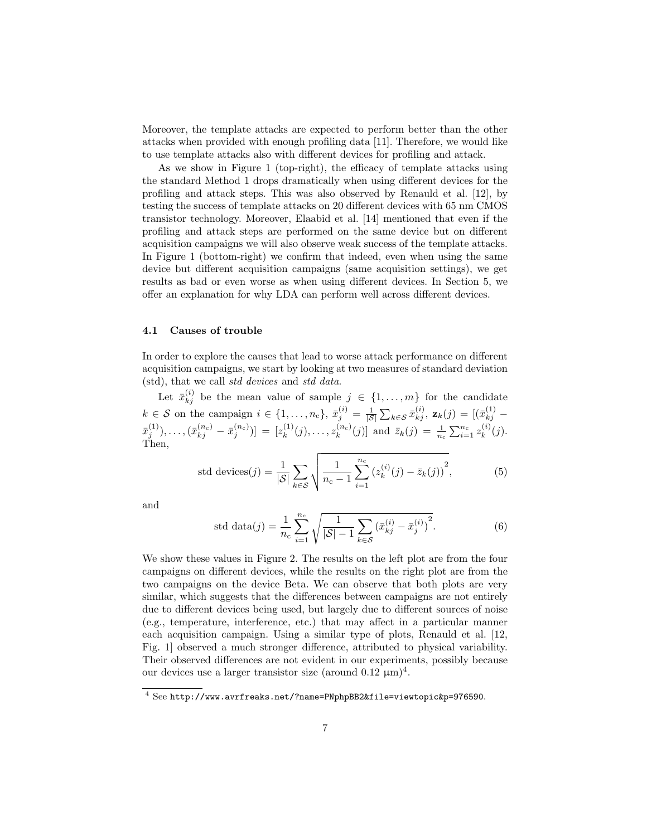Moreover, the template attacks are expected to p[erfo](#page-18-0)rm better than the other attacks when provided with enough profiling data [11]. Therefore, we would like to use template attacks als[o w](#page-18-1)ith different devices for profiling and attack.

As we show in Figure 1 (top-right), the efficacy of template attacks using the standard Method 1 drops dramatically when using different devices for the profiling and attack steps. This was also observed by Renauld et al. [12], by testing the success of template attacks on 20 different devices with 65 nm CMOS transistor technology. Moreover, Elaabid et al. [14] [me](#page-8-0)ntioned that even if the profiling and attack steps are performed on the same device but on different acquisition campaigns we will also observe weak success of the template attacks. In Figure 1 (bottom-right) we confirm that indeed, even when using the same device but different acquisition campaigns (same acquisition settings), we get results as bad or even worse as when using different devices. In Section 5, we offer an explanation for why LDA can perform well across different devices.

### 4.1 Causes of trouble

In order to explore the causes that lead to worse attack performance on different acquisition campaigns, we start by looking at two measures of standard deviation (std), that we call std devices and std data.

Let  $\bar{x}_{kj}^{(i)}$  be the mean value of sample  $j \in \{1, \ldots, m\}$  for the candidate  $k \in S$  on the campaign  $i \in \{1, ..., n_c\}$ ,  $\bar{x}_j^{(i)} = \frac{1}{|S|} \sum_{k \in S} \bar{x}_{kj}^{(i)}$ ,  $\mathbf{z}_k(j) = [(\bar{x}_{kj}^{(1)} - \bar{y}_{kj}^{(2)})^T]$  $\{\bar{x}_j^{(1)}),\ldots,(\bar{x}_{kj}^{(n_{\text{c}})}-\bar{x}_j^{(n_{\text{c}})})\}~=~[z_k^{(1)}]$  $\zeta_k^{(1)}(j), \ldots, z_k^{(n_c)}(j)$  and  $\bar{z}_k(j) = \frac{1}{n_c} \sum_{i=1}^{n_c} z_k^{(i)}$  $k^{(i)}(j).$ Then,

$$
\text{std devices}(j) = \frac{1}{|\mathcal{S}|} \sum_{k \in \mathcal{S}} \sqrt{\frac{1}{n_{\text{c}} - 1} \sum_{i=1}^{n_{\text{c}}} \left( z_{k}^{(i)}(j) - \bar{z}_{k}(j) \right)^{2}},\tag{5}
$$

and

std data(j) = 
$$
\frac{1}{n_c} \sum_{i=1}^{n_c} \sqrt{\frac{1}{|\mathcal{S}| - 1} \sum_{k \in \mathcal{S}} (\bar{x}_{kj}^{(i)} - \bar{x}_j^{(i)})^2}.
$$
 (6)

<span id="page-6-0"></span>We show these values in Figure 2. The results on the left plot are from the four campaigns on different devices, while the results on th[e ri](#page-18-0)ght plot are from the two campaigns on the device Beta. We can observe that both plots are very similar, which suggests that the differences between campaigns are not entirely due to different devices being used[, b](#page-6-0)ut largely due to different sources of noise (e.g., temperature, interference, etc.) that may affect in a particular manner [each acquisition campaign. Using a similar type of](http://www.avrfreaks.net/?name=PNphpBB2&file=viewtopic&p=976590) plots, Renauld et al. [12, Fig. 1] observed a much stronger difference, attributed to physical variability. Their observed differences are not evident in our experiments, possibly because our devices use a larger transistor size (around  $0.12 \ \mu m$ )<sup>4</sup>.

<sup>4</sup> See http://www.avrfreaks.net/?name=PNphpBB2&file=viewtopic&p=976590.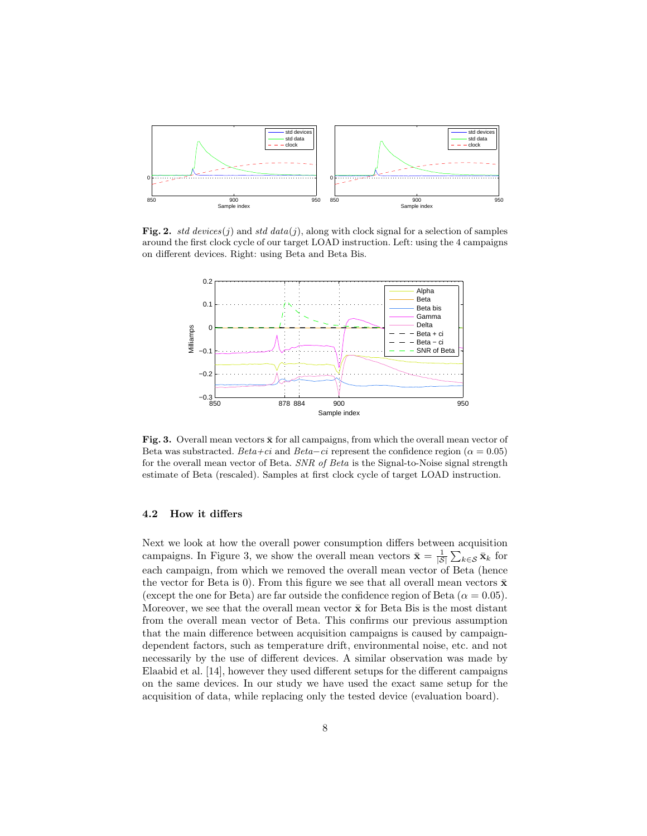

Fig. 2. std devices(j) and std data(j), along with clock signal for a selection of samples around the first clock cycle of our target LOAD instruction. Left: using the 4 campaigns on different devices. Right: using Beta and Beta Bis.



<span id="page-7-1"></span><span id="page-7-0"></span>Fig. 3. Overall mean vectors  $\bar{x}$  for all campaigns, from which the overall mean vector of Beta was substracted. Beta+ci and Beta-ci represent the confidence region ( $\alpha = 0.05$ ) for the overall mean vector of Beta. SNR of Beta is the Signal-to-Noise signal strength estimate of Beta (rescaled). Samples at first clock cycle of target LOAD instruction.

### 4.2 How it differs

Next we look at how the overall power consumption differs between acquisition campaigns. In Figure 3, we show the overall mean vectors  $\bar{\mathbf{x}} = \frac{1}{|\mathcal{S}|} \sum_{k \in \mathcal{S}} \bar{\mathbf{x}}_k$  for each campaign, from which we removed the overall mean vector of Beta (hence the vector for Beta is 0). From this figure we see that all overall mean vectors  $\bar{\mathbf{x}}$ (except the one for Beta) are far outside the confidence region of Beta ( $\alpha = 0.05$ ). Moreover, we see that the overall mean vector  $\bar{\mathbf{x}}$  for Beta Bis is the most distant from the overall mean vector of Beta. This confirms our previous assumption that the main difference between acquisition campaigns is caused by campaigndependent factors, such as temperature drift, environmental noise, etc. and not necessarily by the use of different devices. A similar observation was made by Elaabid et al. [14], however they used different setups for the different campaigns on the same devices. In our study we have used the exact same setup for the acquisition of data, while replacing only the tested device (evaluation board).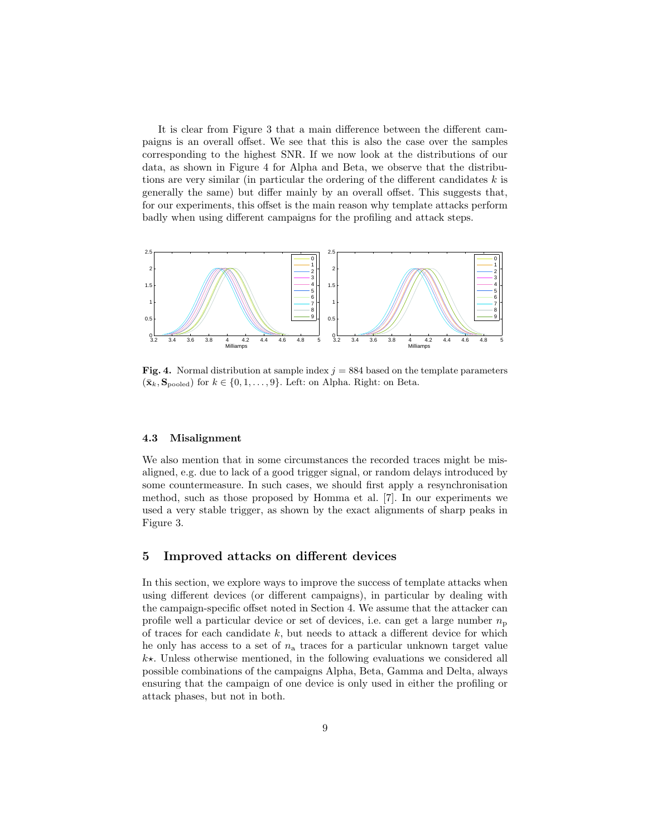It is clear from Figure 3 that a main difference between the different campaigns is an overall offset. We see that this is also the case over the samples corresponding to the highest SNR. If we now look at the distributions of our data, as shown in Figure 4 for Alpha and Beta, we observe that the distributions are very similar (in particular the ordering of the different candidates  $k$  is generally the same) but differ mainly by an overall offset. This suggests that, for our experiments, this offset is the main reason why template attacks perform badly when using different campaigns for the profiling and attack steps.



**Fig. 4.** Normal distribution at sample index  $j = 884$  based on the template parameters  $(\bar{\mathbf{x}}_k, \mathbf{S}_{\text{pooled}})$  for  $k \in \{0, 1, \ldots, 9\}$ . Left: on Alpha. Right: on Beta.

#### 4.3 Misalignment

<span id="page-8-0"></span>We also mention that in some circumstances the recorded traces might be misaligned, e.g. due to lack of a good trigger signal, or random delays introduced by some countermeasure. In such cases, we should first apply a resynchronisation method, such as those proposed by Homma et al. [7]. In our experiments we used a very stable trigger, as shown by the exact alignments of sharp peaks in Figure 3.

# 5 Improved attacks on different devices

In this section, we explore ways to improve the success of template attacks when using different devices (or different campaigns), in particular by dealing with the campaign-specific offset noted in Section 4. We assume that the attacker can profile well a particular device or set of devices, i.e. can get a large number  $n<sub>p</sub>$ of traces for each candidate  $k$ , but needs to attack a different device for which he only has access to a set of  $n_a$  traces for a particular unknown target value  $k\star$ . Unless otherwise mentioned, in the following evaluations we considered all possible combinations of the campaigns Alpha, Beta, Gamma and Delta, always ensuring that the campaign of one device is only used in either the profiling or attack phases, but not in both.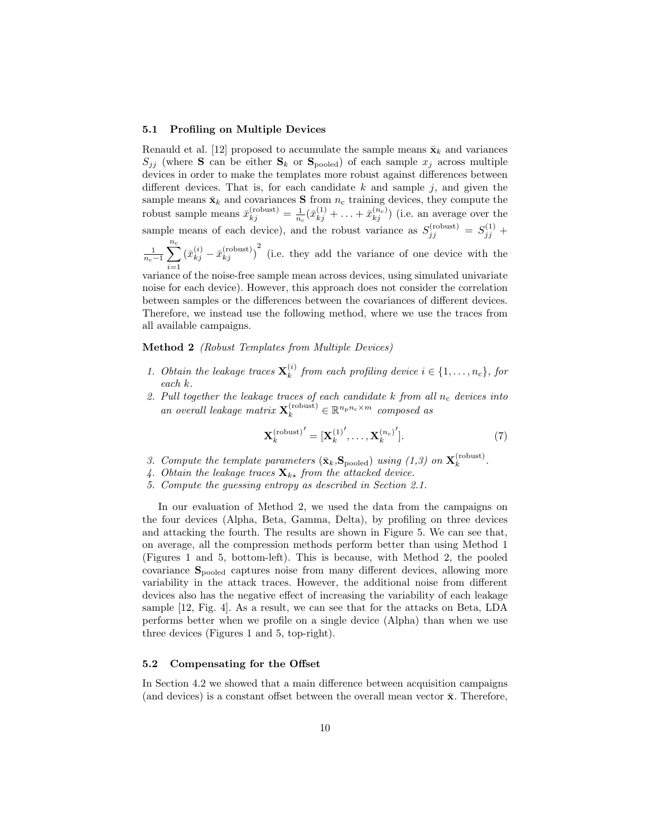#### 5.1 Profiling on Multiple Devices

Renauld et al. [12] proposed to accumulate the sample means  $\bar{\mathbf{x}}_k$  and variances  $S_{ij}$  (where **S** can be either  $S_k$  or  $S_{pooled}$ ) of each sample  $x_j$  across multiple devices in order to make the templates more robust against differences between different devices. That is, for each candidate  $k$  and sample  $j$ , and given the sample means  $\bar{\mathbf{x}}_k$  and covariances **S** from  $n_c$  training devices, they compute the robust sample means  $\bar{x}_{kj}^{(\text{robust})} = \frac{1}{n_c} (\bar{x}_{kj}^{(1)} + \ldots + \bar{x}_{kj}^{(n_c)})$  (i.e. an average over the sample means of each device), and the robust variance as  $S_{jj}^{(robust)} = S_{jj}^{(1)} +$ 

 $\frac{1}{n_{\text{c}}-1}\sum_{\text{c}}^{n_{\text{c}}}$  $i=1$  $(\bar{x}_{kj}^{(i)} - \bar{x}_{kj}^{(\text{robust})})^2$  (i.e. they add the variance of one device with the

<span id="page-9-0"></span>variance of the noise-free sample mean across devices, using simulated univariate noise for each device). However, this approach does not consider the correlation between samples or the differences between the covariances of different devices. Therefore, we instead use the following method, where we use the traces from all available campaigns.

### Method 2 (Robust Templates from Multiple Devices)

- 1. Obtain the leakage traces  $\mathbf{X}_k^{(i)}$  $\mathbf{F}_k^{(i)}$  from each profiling device  $i \in \{1, \ldots, n_c\}$ , for each k.
- 2. Pull together the leakage traces [of](#page-2-0) [ea](#page-2-1)ch candidate k from all  $n_c$  devices into an overall leakage matrix  $\mathbf{X}_k^{(\text{robust})} \in \mathbb{R}^{n_p n_c \times m}$  composed as

$$
\mathbf{X}_{k}^{(\text{robust})'} = [\mathbf{X}_{k}^{(1)'}, \dots, \mathbf{X}_{k}^{(n_{c})'}].
$$
 (7)

- 3. Compute the template parameters  $(\bar{\mathbf{x}}_k, \mathbf{S}_{\text{pooled}})$  $(\bar{\mathbf{x}}_k, \mathbf{S}_{\text{pooled}})$  using  $(1,3)$  on  $\mathbf{X}_k^{(\text{robust})}$  $k$ <sup>tooust</sup>.
- 4. Obtain the leakage traces  $\mathbf{X}_{k\star}$  from the attacked devi[ce.](#page-3-1)
- 5. Compute the guessing entropy as descri[bed](#page-9-0) in Section 2.1.

In our evaluation of Method 2, we used the data from the campaigns on the four devices (Alpha, Beta, Gamma, Delta), by profiling on three devices and attacking the fourth. The results are shown in Figure 5. We can see that, on average, all the compression methods perform better than using Method 1 (Figures 1 and 5, bottom-left). This is because, with Method 2, the pooled c[ov](#page-5-0)aria[nc](#page-10-0)e  $S_{\text{pooled}}$  captures noise from many different devices, allowing more variability in the attack traces. However, the additional noise from different devices also has the negative effect of increasing the variability of each leakage sample [12, Fig. 4]. As a result, we can see that for the attacks on Beta, LDA performs better when we profile on a single device (Alpha) than when we use three devices (Figures 1 and 5, top-right).

### 5.2 Compensating for the Offset

In Section 4.2 we showed that a main difference between acquisition campaigns (and devices) is a constant offset between the overall mean vector  $\bar{\mathbf{x}}$ . Therefore,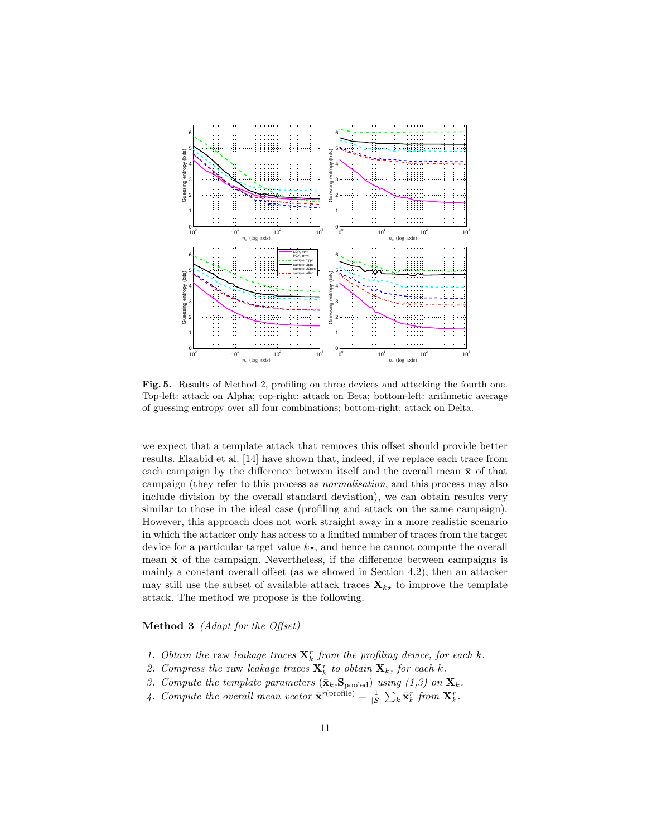

<span id="page-10-0"></span>Fig. 5. Results of Method 2, profiling on three devices and attacking the fourth one. [Top-](#page-18-1)left: attack on Alpha; top-right: attack on Beta; bottom-left: arithmetic average of guessing entropy over all four combinations; bottom-right: attack on Delta.

we expect that a template attack that removes this offset should provide better results. Elaabid et al. [14] have shown that, indeed, if we replace each trace from each campaign by the difference between itself and the overall mean  $\bar{x}$  of that campaign (they refer to this process as normalisation, and this process may also include division by the overall standard deviation), we can obtain results very similar to those in the ideal case (p[rofil](#page-7-0)ing and attack on the same campaign). However, this approach does not work straight away in a more realistic scenario in which the attacker only has access to a limited number of traces from the target device for a particular target value  $k\star$ , and hence he cannot compute the overall mean  $\bar{x}$  of the campaign. Nevertheless, if the difference between campaigns is mainly a constant overall offset (as we showed in Section 4.2), then an attacker may still use the subset of available attack traces  $\mathbf{X}_{k\star}$  to improve the template attack. The method we propose is the following.

<span id="page-10-1"></span>Method 3 (Adapt for the Offset)

- 1. Obtain the raw leakage traces  $\mathbf{X}_k^r$  from the profiling device, for each k.
- 2. Compress the raw leakage traces  $\mathbf{X}_k^r$  to obtain  $\mathbf{X}_k$ , for each k.
- 3. Compute the template parameters  $(\bar{\mathbf{x}}_k, \mathbf{S}_{\text{pooled}})$  using  $(1,3)$  on  $\mathbf{X}_k$ .
- 4. Compute the overall mean vector  $\bar{\mathbf{x}}^{r(\text{profile})} = \frac{1}{|\mathcal{S}|} \sum_{k} \bar{\mathbf{x}}_k^r$  from  $\mathbf{X}_k^r$ .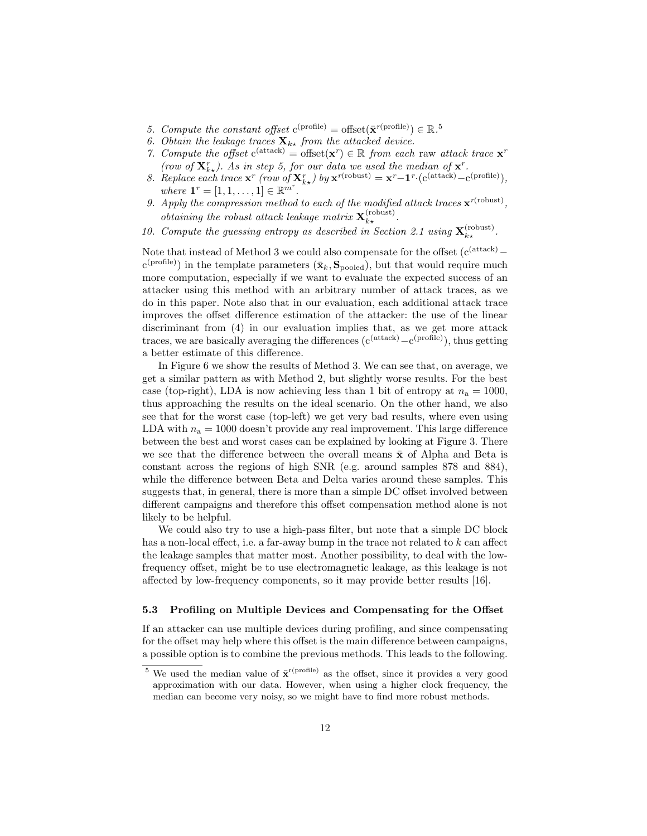- 5. Compute the constant offset  $c^{(profile)} = \text{offset}(\bar{\mathbf{x}}^{r(profile)}) \in \mathbb{R}^5$ .
- 6. Obtain the leakage traces  $\mathbf{X}_{k\star}$  from the attacked device.
- 7. Compute the offset  $c^{(attack)} = offset(x^r) \in \mathbb{R}$  from each raw attack trace  $x^r$ (row of  $X_{k\star}^r$ ). As in step 5, for [our d](#page-2-2)ata we used the median of  $x^r$ .
- 8. Re[pla](#page-10-1)ce each trace  $\mathbf{x}^r$  (row of  $\mathbf{X}_{k\star}^r$ ) by  $\mathbf{x}^{r(\text{robust})} = \mathbf{x}^r \mathbf{1}^r \cdot (c^{(\text{attack})} c^{(\text{profile})}),$ where  $\mathbf{1}^r = [1, 1, \ldots, 1] \in \mathbb{R}^{m^r}$ .
- 9. Apply the compression method to each of the modified attack traces  $\mathbf{x}^{r(\text{robust})}$ , obtaining the robust attack leakage matrix  $\mathbf{X}_{k\star}^{(\text{robust})}$ .
- 10. Compute the guessing entropy as described in Section 2.1 using  $\mathbf{X}_{k\star}^{(\text{robust})}$ .

Note that instead of Method 3 we could also compensate for the offset  $(c^{(attack)}$  $c^{(profile)}$  $c^{(profile)}$ ) in the template parameters  $(\bar{\mathbf{x}}_k, \mathbf{S}_{pooled})$ , but that would require much more computation, especially if we want to evaluate the expected success of an attacker using this method with an arbitrary number of attack traces, as we do in this paper. Note a[lso](#page-10-1) that in our evaluation, each additional attack trace improves the off[set](#page-9-0) difference estimation of the attacker: the use of the linear discriminant from (4) in our evaluation implies that, as we get more attack traces, we are basically averaging the differences  $(c^{(attack)} - c^{(profile)})$ , thus getting a better estimate of this difference.

In Figure 6 we show the results of Method 3. We can see that, on average, we get a similar pattern as with Method 2, but sligh[tly](#page-7-1) worse results. For the best case (top-right), LDA is now achieving less than 1 bit of entropy at  $n_a = 1000$ , thus approaching the results on the ideal scenario. On the other hand, we also see that for the worst case (top-left) we get very bad results, where even using LDA with  $n_a = 1000$  doesn't provide any real improvement. This large difference between the best and worst cases can be explained by looking at Figure 3. There we see that the difference between the overall means  $\bar{x}$  of Alpha and Beta is constant across the regions of high SNR (e.g. around samples 878 and 884), while the difference between Beta and Delta varies around these samples. This suggests that, in general, there is more than a simple DC offset involved between different campaigns and therefore this offset comp[ensa](#page-18-11)tion method alone is not likely to be helpful.

<span id="page-11-0"></span>We could also try to use a high-pass filter, but note that a simple DC block has a non-local effect, i.e. a far-away bump in the trace not related to k can affect the leakage samples that matter most. Another possibility, to deal with the lowfrequency offset, might be to use electromagnetic leakage, as this leakage is not affected by low-frequency components, so it may provide better results [16].

#### <span id="page-11-1"></span>5.3 Profiling on Multiple Devices and Compensating for the Offset

If an attacker can use multiple devices during profiling, and since compensating for the offset may help where this offset is the main difference between campaigns, a possible option is to combine the previous methods. This leads to the following.

<sup>&</sup>lt;sup>5</sup> We used the median value of  $\bar{\mathbf{x}}^{r(profile)}$  as the offset, since it provides a very good approximation with our data. However, when using a higher clock frequency, the median can become very noisy, so we might have to find more robust methods.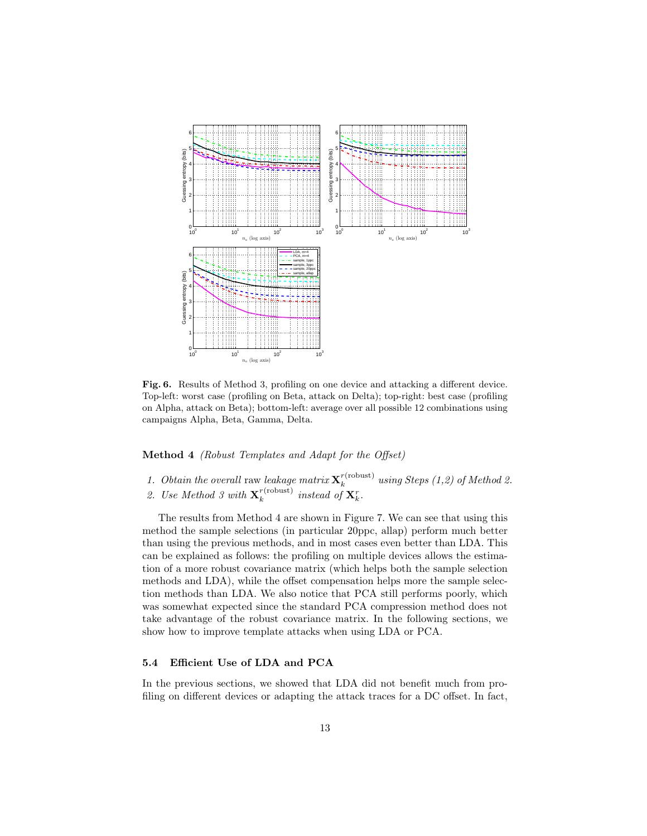

Fig. 6. Results of Method 3, profiling on one device and attacking a different device. Top-left: worst case (profiling on Beta, attack on Delta); top-right: best case (profiling on Alpha, attack on Beta); bottom-left: average over all possib[le](#page-9-0) 12 combinations using campaigns Alpha, Beta, Gamma, Delta.

Metho[d](#page-11-1) 4 (Robust Templat[es](#page-13-0) and Adapt for the Offset)

1. Obtain the overall raw leakage matrix  $\mathbf{X}_k^{r(\text{robust})}$  $\sum_{k}^{r(\text{robust})}$  using Steps  $(1,2)$  of Method 2. 2. Use Method 3 with  $\mathbf{X}_{k}^{r(\text{robust})}$  $\sum_{k}^{r(\text{robust})}$  instead of  $\mathbf{X}_{k}^{r}$ .

The results from Method 4 are shown in Figure 7. We can see that using this method the sample selections (in particular 20ppc, allap) perform much better than using the previous methods, and in most cases even better than LDA. This can be explained as follows: the profiling on multiple devices allows the estimation of a more robust covariance matrix (which helps both the sample selection methods and LDA), while the offset compensation helps more the sample selection methods than LDA. We also notice that PCA still performs poorly, which was somewhat expected since the standard PCA compression method does not take advantage of the robust covariance matrix. In the following sections, we show how to improve template attacks when using LDA or PCA.

#### <span id="page-12-0"></span>5.4 Efficient Use of LDA and PCA

In the previous sections, we showed that LDA did not benefit much from profiling on different devices or adapting the attack traces for a DC offset. In fact,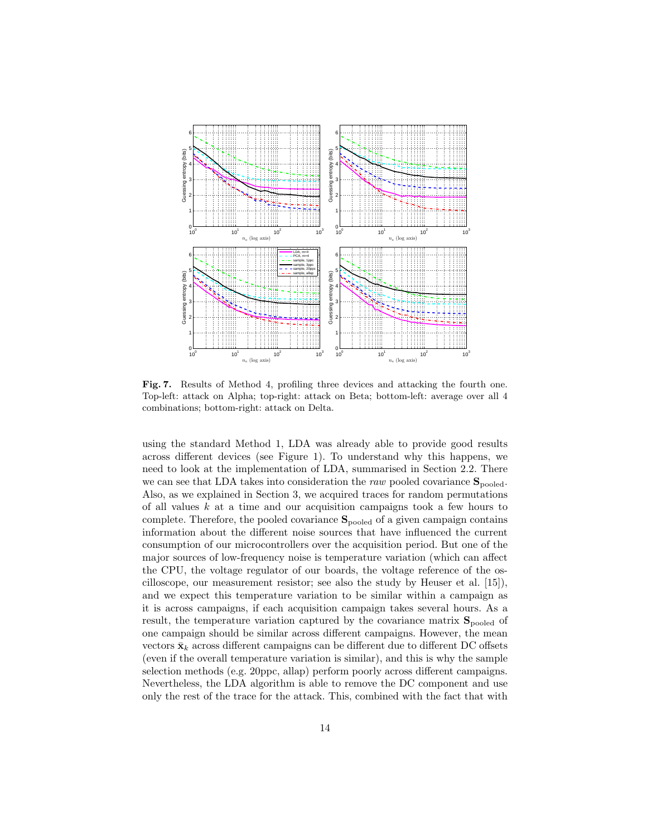

<span id="page-13-0"></span>Fig. 7. [R](#page-3-1)esults [of](#page-5-0) Method 4, profiling three devices and attacking the fourth one. Top-left: attack on Alpha; top-right: attack on Be[ta; b](#page-3-2)ottom-left: average over all 4 combinations; bottom-right: attack on Delta.

using the standard Method 1, LDA was already able to provide good results across different devices (see Figure 1). To understand why this happens, we need to look at the implementation of LDA, summarised in Section 2.2. There we can see that LDA takes into consideration the raw pooled covariance  $S_{pooled}$ . Also, as we explained in Section 3, we acquired traces for random permutations of all values  $k$  at a time and our acquisition campaigns took a few hours to complete. Therefore, the pooled covariance  $\mathbf{S}_{\text{pooled}}$  of [a gi](#page-18-12)ven campaign contains information about the different noise sources that have influenced the current consumption of our microcontrollers over the acquisition period. But one of the major sources of low-frequency noise is temperature variation (which can affect the CPU, the voltage regulator of our boards, the voltage reference of the oscilloscope, our measurement resistor; see also the study by Heuser et al. [15]), and we expect this temperature variation to be similar within a campaign as it is across campaigns, if each acquisition campaign takes several hours. As a result, the temperature variation captured by the covariance matrix  $S_{pooled}$  of one campaign should be similar across different campaigns. However, the mean vectors  $\bar{\mathbf{x}}_k$  across different campaigns can be different due to different DC offsets (even if the overall temperature variation is similar), and this is why the sample selection methods (e.g. 20ppc, allap) perform poorly across different campaigns. Nevertheless, the LDA algorithm is able to remove the DC component and use only the rest of the trace for the attack. This, combined with the fact that with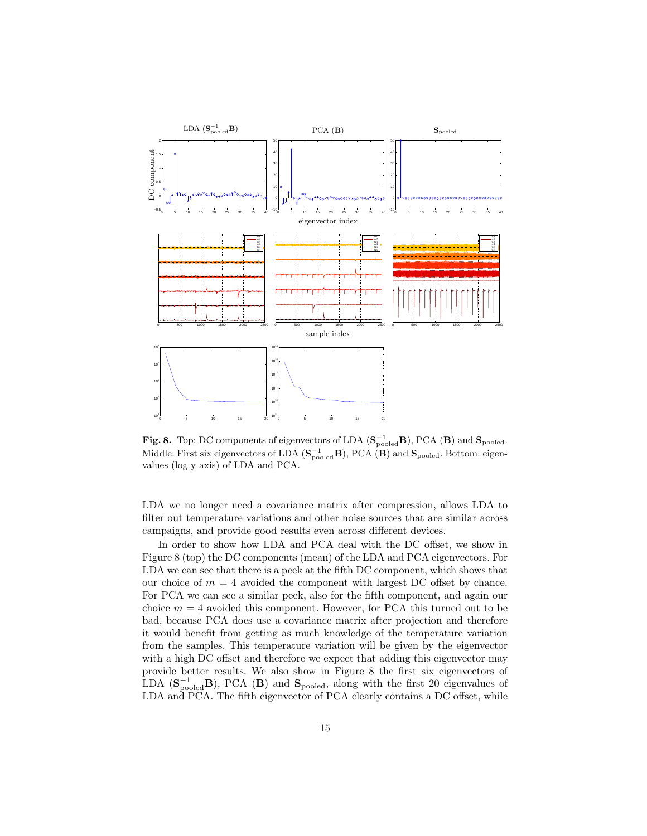

<span id="page-14-0"></span>**Fig. 8.** Top: DC components of eigenvectors of LDA  $(\mathbf{S}_{\text{pooled}}^{-1}\mathbf{B})$ , PCA  $(\mathbf{B})$  and  $\mathbf{S}_{\text{pooled}}$ . Middle: First six eigenvectors of LDA  $(\mathbf{S}_{\text{pooled}}^{-1}\mathbf{B})$ , PCA  $(\mathbf{B})$  and  $\mathbf{S}_{\text{pooled}}$ . Bottom: eigenvalues (log y axis) of LDA and PCA.

LDA we no longer need a covariance matrix after compression, allows LDA to filter out temperature variations and other noise sources that are similar across campaigns, and provide good results even across different devices.

In order to show how LDA and PCA deal with the DC offset, we show in Figure 8 (top) the DC components (mean) of the LDA and PCA eigenvectors. For LDA we can see that there is a peek at the fifth DC component, which shows that our choice of  $m = 4$  avoided the component with largest DC offset by chance. For PCA we can see a similar peek, also for the fifth component, and again our choice  $m = 4$  avoided this c[om](#page-14-0)ponent. However, for PCA this turned out to be bad, because PCA does use a covariance matrix after projection and therefore it would benefit from getting as much knowledge of the temperature variation from the samples. This temperature variation will be given by the eigenvector with a high DC offset and therefore we expect that adding this eigenvector may provide better results. We also show in Figure 8 the first six eigenvectors of LDA  $(\mathbf{S}_{\text{pooled}}^{-1}\mathbf{B})$ , PCA  $(\mathbf{B})$  and  $\mathbf{S}_{\text{pooled}}$ , along with the first 20 eigenvalues of LDA and PCA. The fifth eigenvector of PCA clearly contains a DC offset, while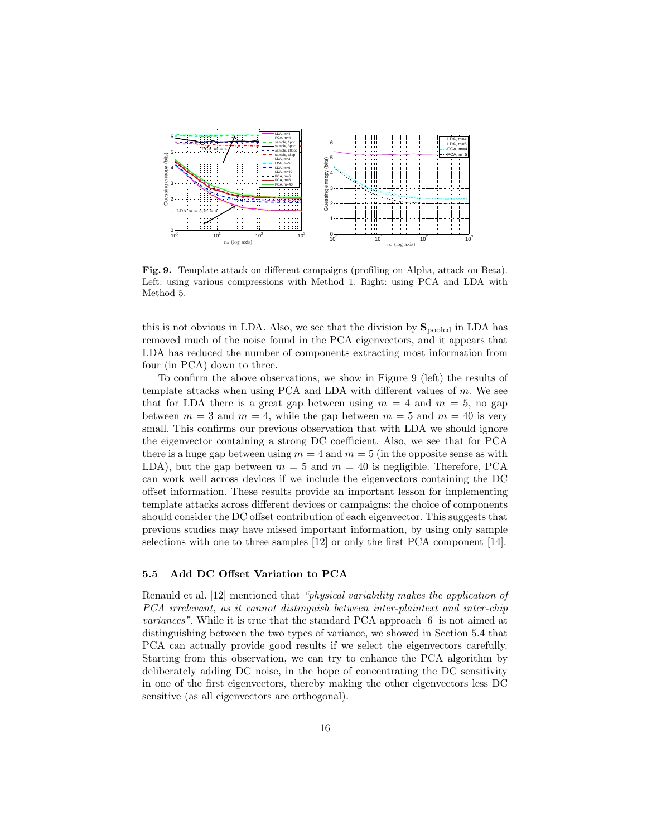

<span id="page-15-0"></span>Fig. 9. Template attack on different campaigns (profiling on Alpha, attack on Beta). Left: using various compressions with Method 1. Right: using PCA and LDA with Method 5.

this is not obvious in LDA. Also, we see that the division by  $S_{pooled}$  in LDA has removed much of the noise found in the PCA eigenvectors, and it appears that LDA has reduced the number of components extracting most information from four (in PCA) down to three.

To confirm the above observations, we show in Figure 9 (left) the results of template attacks when using PCA and LDA with different values of  $m$ . We see that for LDA there is a great gap between using  $m = 4$  and  $m = 5$ , no gap between  $m = 3$  and  $m = 4$ , while the gap between  $m = 5$  and  $m = 40$  is very small. This confirms our previous observation that with LDA we should ignore the eigenvector containing a strong DC coefficient. Also, we see that for PCA there is a huge gap between using  $m = 4$  and  $m = 5$  (in the opposite sense as with LDA), but the gap between  $m = 5$  and  $m = 40$  is negligible. Therefore, PCA can work well a[cro](#page-18-0)ss devices if we include the eigenv[ecto](#page-18-1)rs containing the DC offset information. These results provide an important lesson for implementing template attacks across different devices or campaigns: the choice of components should consider the DC offset contribution of each eigenvector. This suggests that previous studies may have missed important information, by using only sample selections with one to three samples [12] or only the first PCA component [14].

### 5.5 Add DC Offset Variation to PCA

Renauld et al. [12] mentioned that "physical variability makes the application of PCA irrelevant, as it cannot distinguish between inter-plaintext and inter-chip variances". While it is true that the standard PCA approach [6] is not aimed at distinguishing between the two types of variance, we showed in Section 5.4 that PCA can actually provide good results if we select the eigenvectors carefully. Starting from this observation, we can try to enhance the PCA algorithm by deliberately adding DC noise, in the hope of concentrating the DC sensitivity in one of the first eigenvectors, thereby making the other eigenvectors less DC sensitive (as all eigenvectors are orthogonal).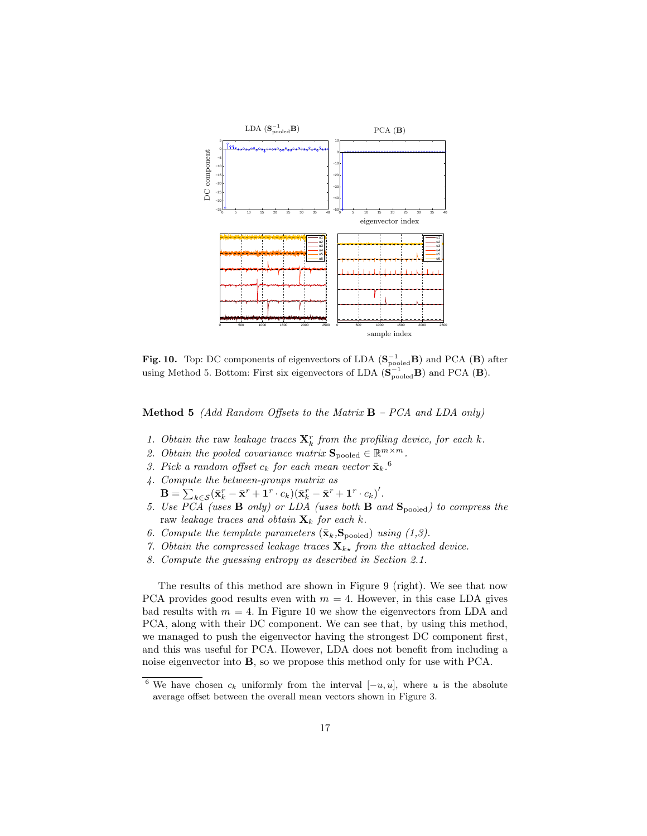

<span id="page-16-0"></span>**Fig. 10.** Top: DC components of eigenvectors of LDA  $(\mathbf{S}_{\text{pooled}}^{-1}\mathbf{B})$  and PCA (**B**) after using Method 5. Bottom: First six eigenvectors of LDA  $(\mathbf{S}_{\text{pooled}}^{-1} \mathbf{B})$  and PCA  $(\mathbf{B})$ .

**Method 5** (Add Random Offsets to the Matrix  $B$  – PCA and LDA only)

- 1. Obtain the raw leakage traces  $\mathbf{X}_k^r$  from the profiling device, for each k.
- 2. Obtain the pooled covariance matrix  $\mathbf{S}_{pooled} \in \mathbb{R}^{m \times m}$ .
- 3. Pick a random offs[e](#page-2-1)t  $c_k$  for each [m](#page-2-0)ean vector  $\bar{\mathbf{x}}_k$ .<sup>6</sup>
- 4. Compute the between-groups matrix as  $\mathbf{B} = \sum_{k \in \mathcal{S}} (\bar{\mathbf{x}}_k^r - \bar{\mathbf{x}}^r + \mathbf{1}^r \cdot c_k)(\bar{\mathbf{x}}_k^r - \bar{\mathbf{x}}^r + \mathbf{1}^r \cdot c_k)'$
- 5. Use  $\overline{PCA}$  (uses **B** only) or  $\overline{LDA}$  (uses both **B** and  $\mathbf{S}_{\text{pooled}}$ ) to compress the raw leakage traces and obt[ain](#page-15-0)  $\mathbf{X}_k$  for each k.
- 6. Compute the template parameters  $(\bar{\mathbf{x}}_k, \mathbf{S}_{\text{pooled}})$  using  $(1,3)$ .
- 7. Obtain th[e co](#page-16-0)mpressed leakage traces  $\mathbf{X}_{k\star}$  from the attacked device.
- 8. Compute the guessing entropy as described in Section 2.1.

The results of this method are shown in Figure 9 (right). We see that now PCA provides good results even with  $m = 4$ . However, in this case LDA gives bad results with  $m = 4$ . In Figure 10 we show the eigenvectors from LDA and PCA, along with their DC component. [We](#page-7-1) can see that, by using this method, we managed to push the eigenvector having the strongest DC component first, and this was useful for PCA. However, LDA does not benefit from including a noise eigenvector into B, so we propose this method only for use with PCA.

<sup>&</sup>lt;sup>6</sup> We have chosen  $c_k$  uniformly from the interval  $[-u, u]$ , where u is the absolute average offset between the overall mean vectors shown in Figure 3.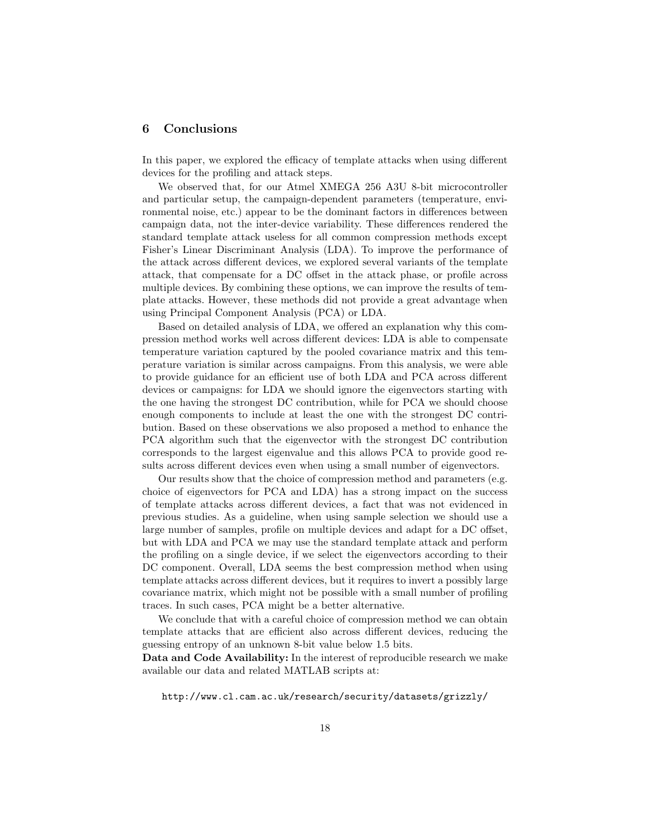### 6 Conclusions

In this paper, we explored the efficacy of template attacks when using different devices for the profiling and attack steps.

We observed that, for our Atmel XMEGA 256 A3U 8-bit microcontroller and particular setup, the campaign-dependent parameters (temperature, environmental noise, etc.) appear to be the dominant factors in differences between campaign data, not the inter-device variability. These differences rendered the standard template attack useless for all common compression methods except Fisher's Linear Discriminant Analysis (LDA). To improve the performance of the attack across different devices, we explored several variants of the template attack, that compensate for a DC offset in the attack phase, or profile across multiple devices. By combining these options, we can improve the results of template attacks. However, these methods did not provide a great advantage when using Principal Component Analysis (PCA) or LDA.

Based on detailed analysis of LDA, we offered an explanation why this compression method works well across different devices: LDA is able to compensate temperature variation captured by the pooled covariance matrix and this temperature variation is similar across campaigns. From this analysis, we were able to provide guidance for an efficient use of both LDA and PCA across different devices or campaigns: for LDA we should ignore the eigenvectors starting with the one having the strongest DC contribution, while for PCA we should choose enough components to include at least the one with the strongest DC contribution. Based on these observations we also proposed a method to enhance the PCA algorithm such that the eigenvector with the strongest DC contribution corresponds to the largest eigenvalue and this allows PCA to provide good results across different devices even when using a small number of eigenvectors.

Our results show that the choice of compression method and parameters (e.g. choice of eigenvectors for PCA and LDA) has a strong impact on the success of template attacks across different devices, a fact that was not evidenced in previous studies. As a guideline, when using sample selection we should use a large number of samples, profile on multiple devices and adapt for a DC offset, but with LDA and PCA we may use the standard template attack and perform the profiling on a single device, if we select the eigenvectors according to their DC component. Overall, LDA seems the best compression method when using template attacks across different devices, but it requires to invert a possibly large covariance matrix, which might not be possible with a small number of profiling traces. In such cases, PCA might be a better alternative.

We conclude that with a careful choice of compression method we can obtain [template attacks that are efficient also across differe](http://www.cl.cam.ac.uk/research/security/datasets/grizzly/)nt devices, reducing the guessing entropy of an unknown 8-bit value below 1.5 bits.

Data and Code Availability: In the interest of reproducible research we make available our data and related MATLAB scripts at:

http://www.cl.cam.ac.uk/research/security/datasets/grizzly/